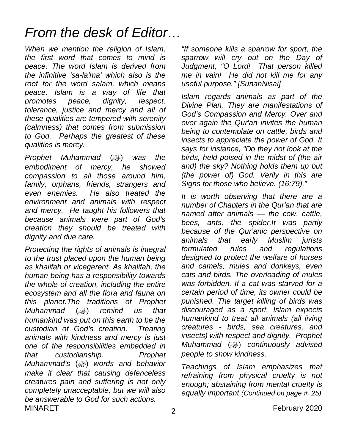### *From the desk of Editor…*

*When we mention the religion of Islam, the first word that comes to mind is peace. The word Islam is derived from the infinitive 'sa-la'ma' which also is the root for the word salam, which means peace. Islam is a way of life that promotes peace, dignity, respect, tolerance, justice and mercy and all of these qualities are tempered with serenity (calmness) that comes from submission to God. Perhaps the greatest of these qualities is mercy.* 

*Prophet Muhammad* (صلى الله عليه وسلم (*was the embodiment of mercy, he showed compassion to all those around him, family, orphans, friends, strangers and even enemies. He also treated the environment and animals with respect and mercy. He taught his followers that because animals were part of God's creation they should be treated with dignity and due care.*

MINARET 2020 *Protecting the rights of animals is integral to the trust placed upon the human being as khalifah or vicegerent. As khalifah, the human being has a responsibility towards the whole of creation, including the entire ecosystem and all the flora and fauna on this planet.The traditions of Prophet Muhammad* (صلى الله عليه وسلم (*remind us that humankind was put on this earth to be the custodian of God's creation. Treating animals with kindness and mercy is just one of the responsibilities embedded in that custodianship. Prophet Muhammad's (*@) words and behavior *make it clear that causing defenceless creatures pain and suffering is not only completely unacceptable, but we will also be answerable to God for such actions.*

*"If someone kills a sparrow for sport, the sparrow will cry out on the Day of Judgment, "O Lord! That person killed me in vain! He did not kill me for any useful purpose." [SunanNisai]*

*Islam regards animals as part of the Divine Plan. They are manifestations of God's Compassion and Mercy. Over and over again the Qur'an invites the human being to contemplate on cattle, birds and insects to appreciate the power of God. It says for instance, "Do they not look at the birds, held poised in the midst of (the air and) the sky? Nothing holds them up but (the power of) God. Verily in this are Signs for those who believe. (16:79)."*

*It is worth observing that there are a number of Chapters in the Qur'an that are named after animals — the cow, cattle, bees, ants, the spider.It was partly because of the Qur'anic perspective on animals that early Muslim jurists formulated rules and regulations designed to protect the welfare of horses and camels, mules and donkeys, even cats and birds. The overloading of mules was forbidden. If a cat was starved for a certain period of time, its owner could be punished. The target killing of birds was discouraged as a sport. Islam expects humankind to treat all animals (all living creatures - birds, sea creatures, and insects) with respect and dignity. Prophet Muhammad (*@) continuously advised *people to show kindness.* 

*Teachings of Islam emphasizes that refraining from physical cruelty is not enough; abstaining from mental cruelty is equally important (Continued on page #. 25)*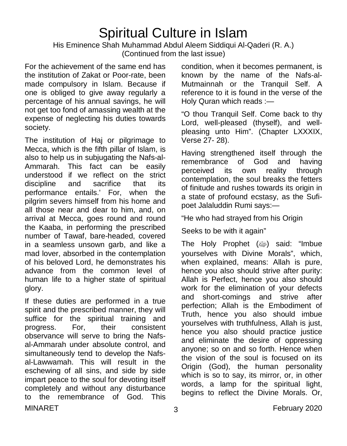# Spiritual Culture in Islam

His Eminence Shah Muhammad Abdul Aleem Siddiqui Al-Qaderi (R. A.) (Continued from the last issue)

For the achievement of the same end has the institution of Zakat or Poor-rate, been made compulsory in Islam. Because if one is obliged to give away regularly a percentage of his annual savings, he will not get too fond of amassing wealth at the expense of neglecting his duties towards society.

The institution of Haj or pilgrimage to Mecca, which is the fifth pillar of Islam, is also to help us in subjugating the Nafs-al-Ammarah. This fact can be easily understood if we reflect on the strict discipline and sacrifice that its performance entails.' For, when the pilgrim severs himself from his home and all those near and dear to him, and, on arrival at Mecca, goes round and round the Kaaba, in performing the prescribed number of Tawaf, bare-headed, covered in a seamless unsown garb, and like a mad lover, absorbed in the contemplation of his beloved Lord, he demonstrates his advance from the common level of human life to a higher state of spiritual glory.

MINARET 3 3 February 2020 If these duties are performed in a true spirit and the prescribed manner, they will suffice for the spiritual training and progress. For, their consistent observance will serve to bring the Nafsal-Ammarah under absolute control, and simultaneously tend to develop the Nafsal-Lawwamah. This will result in the eschewing of all sins, and side by side impart peace to the soul for devoting itself completely and without any disturbance to the remembrance of God. This

condition, when it becomes permanent, is known by the name of the Nafs-al-Mutmainnah or the Tranquil Self. A reference to it is found in the verse of the Holy Quran which reads :—

"O thou Tranquil Self. Come back to thy Lord, well-pleased (thyself), and wellpleasing unto Him". (Chapter LXXXIX, Verse 27- 28).

Having strengthened itself through the remembrance of God and having perceived its own reality through contemplation, the soul breaks the fetters of finitude and rushes towards its origin in a state of profound ecstasy, as the Sufipoet Jalaluddin Rumi says:—

"He who had strayed from his Origin

Seeks to be with it again"

The Holy Prophet (ﷺ) said: "Imbue yourselves with Divine Morals", which, when explained, means: Allah is pure, hence you also should strive after purity: Allah is Perfect, hence you also should work for the elimination of your defects and short-comings and strive after perfection; Allah is the Embodiment of Truth, hence you also should imbue yourselves with truthfulness, Allah is just, hence you also should practice justice and eliminate the desire of oppressing anyone; so on and so forth. Hence when the vision of the soul is focused on its Origin (God), the human personality which is so to say, its mirror, or, in other words, a lamp for the spiritual light, begins to reflect the Divine Morals. Or,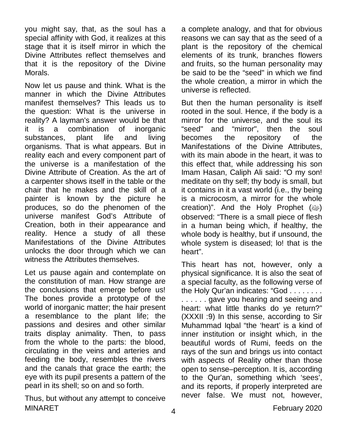you might say, that, as the soul has a special affinity with God, it realizes at this stage that it is itself mirror in which the Divine Attributes reflect themselves and that it is the repository of the Divine Morals.

Now let us pause and think. What is the manner in which the Divine Attributes manifest themselves? This leads us to the question: What is the universe in reality? A layman's answer would be that it is a combination of inorganic substances, plant life and living organisms. That is what appears. But in reality each and every component part of the universe is a manifestation of the Divine Attribute of Creation. As the art of a carpenter shows itself in the table or the chair that he makes and the skill of a painter is known by the picture he produces, so do the phenomen of the universe manifest God's Attribute of Creation, both in their appearance and reality. Hence a study of all these Manifestations of the Divine Attributes unlocks the door through which we can witness the Attributes themselves.

Let us pause again and contemplate on the constitution of man. How strange are the conclusions that emerge before us! The bones provide a prototype of the world of inorganic matter; the hair present a resemblance to the plant life; the passions and desires and other similar traits display animality. Then, to pass from the whole to the parts: the blood, circulating in the veins and arteries and feeding the body, resembles the rivers and the canals that grace the earth; the eye with its pupil presents a pattern of the pearl in its shell; so on and so forth.

MINARET MINARET Thus, but without any attempt to conceive

a complete analogy, and that for obvious reasons we can say that as the seed of a plant is the repository of the chemical elements of its trunk, branches flowers and fruits, so the human personality may be said to be the "seed" in which we find the whole creation, a mirror in which the universe is reflected.

But then the human personality is itself rooted in the soul. Hence, if the body is a mirror for the universe, and the soul its "seed" and "mirror", then the soul becomes the repository of the Manifestations of the Divine Attributes, with its main abode in the heart, it was to this effect that, while addressing his son Imam Hasan, Caliph Ali said: "O my son! meditate on thy self; thy body is small, but it contains in it a vast world (i.e., thy being is a microcosm, a mirror for the whole creation)". And the Holy Prophet (@) observed: "There is a small piece of flesh in a human being which, if healthy, the whole body is healthy, but if unsound, the whole system is diseased; lo! that is the heart".

This heart has not, however, only a physical significance. It is also the seat of a special faculty, as the following verse of the Holy Qur'an indicates: "God . . . . . . . . ......gave you hearing and seeing and heart: what little thanks do ye return?" (XXXII :9) In this sense, according to Sir Muhammad Iqbal "the 'heart' is a kind of inner institution or insight which, in the beautiful words of Rumi, feeds on the rays of the sun and brings us into contact with aspects of Reality other than those open to sense–perception. It is, according to the Qur'an, something which 'sees', and its reports, if properly interpreted are never false. We must not, however,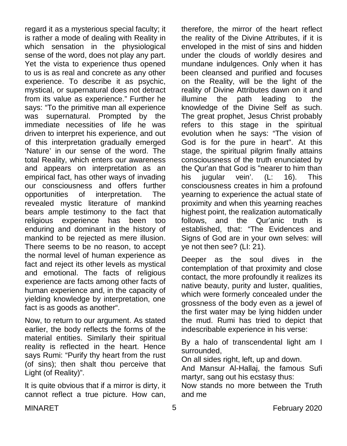regard it as a mysterious special faculty; it is rather a mode of dealing with Reality in which sensation in the physiological sense of the word, does not play any part. Yet the vista to experience thus opened to us is as real and concrete as any other experience. To describe it as psychic, mystical, or supernatural does not detract from its value as experience." Further he says: "To the primitive man all experience was supernatural. Prompted by the immediate necessities of life he was driven to interpret his experience, and out of this interpretation gradually emerged 'Nature' in our sense of the word. The total Reality, which enters our awareness and appears on interpretation as an empirical fact, has other ways of invading our consciousness and offers further opportunities of interpretation. The revealed mystic literature of mankind bears ample testimony to the fact that religious experience has been too enduring and dominant in the history of mankind to be rejected as mere illusion. There seems to be no reason, to accept the normal level of human experience as fact and reject its other levels as mystical and emotional. The facts of religious experience are facts among other facts of human experience and, in the capacity of yielding knowledge by interpretation, one fact is as goods as another".

Now, to return to our argument. As stated earlier, the body reflects the forms of the material entities. Similarly their spiritual reality is reflected in the heart. Hence says Rumi: "Purify thy heart from the rust (of sins); then shalt thou perceive that Light (of Reality)".

It is quite obvious that if a mirror is dirty, it cannot reflect a true picture. How can,

therefore, the mirror of the heart reflect the reality of the Divine Attributes, if it is enveloped in the mist of sins and hidden under the clouds of worldly desires and mundane indulgences. Only when it has been cleansed and purified and focuses on the Reality, will be the light of the reality of Divine Attributes dawn on it and illumine the path leading to the knowledge of the Divine Self as such. The great prophet, Jesus Christ probably refers to this stage in the spiritual evolution when he says: "The vision of God is for the pure in heart". At this stage, the spiritual pilgrim finally attains consciousness of the truth enunciated by the Qur'an that God is "nearer to him than his jugular vein'. (L: 16). This consciousness creates in him a profound yearning to experience the actual state of proximity and when this yearning reaches highest point, the realization automatically follows, and the Qur'anic truth is established, that: "The Evidences and Signs of God are in your own selves: will ye not then see? (LI: 21).

Deeper as the soul dives in the contemplation of that proximity and close contact, the more profoundly it realizes its native beauty, purity and luster, qualities, which were formerly concealed under the grossness of the body even as a jewel of the first water may be lying hidden under the mud. Rumi has tried to depict that indescribable experience in his verse:

By a halo of transcendental light am I surrounded,

On all sides right, left, up and down.

And Mansur Al-Hallaj, the famous Sufi martyr, sang out his ecstasy thus:

Now stands no more between the Truth and me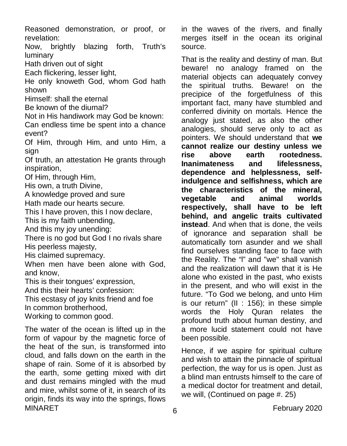Reasoned demonstration, or proof, or revelation:

Now, brightly blazing forth, Truth's luminary

Hath driven out of sight

Each flickering, lesser light,

He only knoweth God, whom God hath shown

Himself: shall the eternal

Be known of the diurnal?

Not in His handiwork may God be known: Can endless time be spent into a chance event?

Of Him, through Him, and unto Him, a sign

Of truth, an attestation He grants through inspiration,

Of Him, through Him,

His own, a truth Divine,

A knowledge proved and sure

Hath made our hearts secure.

This I have proven, this I now declare,

This is my faith unbending,

And this my joy unending:

There is no god but God I no rivals share His peerless majesty,

His claimed supremacy.

When men have been alone with God, and know,

This is their tongues' expression,

And this their hearts' confession:

This ecstasy of joy knits friend and foe

In common brotherhood,

Working to common good.

MINARET **February 2020** The water of the ocean is lifted up in the form of vapour by the magnetic force of the heat of the sun, is transformed into cloud, and falls down on the earth in the shape of rain. Some of it is absorbed by the earth, some getting mixed with dirt and dust remains mingled with the mud and mire, whilst some of it, in search of its origin, finds its way into the springs, flows

in the waves of the rivers, and finally merges itself in the ocean its original source.

That is the reality and destiny of man. But beware! no analogy framed on the material objects can adequately convey the spiritual truths. Beware! on the precipice of the forgetfulness of this important fact, many have stumbled and conferred divinity on mortals. Hence the analogy just stated, as also the other analogies, should serve only to act as pointers. We should understand that **we cannot realize our destiny unless we rise above earth rootedness. Inanimateness and lifelessness, dependence and helplessness, selfindulgence and selfishness, which are the characteristics of the mineral, vegetable and respectively, shall have to be left behind, and angelic traits cultivated instead**. And when that is done, the veils of ignorance and separation shall be automatically torn asunder and we shall find ourselves standing face to face with the Reality. The "l" and "we" shall vanish and the realization will dawn that it is He alone who existed in the past, who exists in the present, and who will exist in the future. "To God we belong, and unto Him is our return" (II : 156); in these simple words the Holy Quran relates the profound truth about human destiny, and a more lucid statement could not have been possible.

Hence, if we aspire for spiritual culture and wish to attain the pinnacle of spiritual perfection, the way for us is open. Just as a blind man entrusts himself to the care of a medical doctor for treatment and detail, we will, (Continued on page #. 25)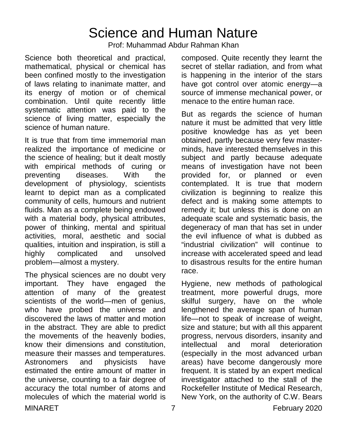### Science and Human Nature

Prof: Muhammad Abdur Rahman Khan

Science both theoretical and practical, mathematical, physical or chemical has been confined mostly to the investigation of laws relating to inanimate matter, and its energy of motion or of chemical combination. Until quite recently little systematic attention was paid to the science of living matter, especially the science of human nature.

It is true that from time immemorial man realized the importance of medicine or the science of healing; but it dealt mostly with empirical methods of curing or preventing diseases. With the development of physiology, scientists learnt to depict man as a complicated community of cells, humours and nutrient fluids. Man as a complete being endowed with a material body, physical attributes, power of thinking, mental and spiritual activities, moral, aesthetic and social qualities, intuition and inspiration, is still a highly complicated and unsolved problem—almost a mystery.

The physical sciences are no doubt very important. They have engaged the attention of many of the greatest scientists of the world—men of genius. who have probed the universe and discovered the laws of matter and motion in the abstract. They are able to predict the movements of the heavenly bodies, know their dimensions and constitution, measure their masses and temperatures. Astronomers and physicists have estimated the entire amount of matter in the universe, counting to a fair degree of accuracy the total number of atoms and molecules of which the material world is

composed. Quite recently they learnt the secret of stellar radiation, and from what is happening in the interior of the stars have got control over atomic energy—a source of immense mechanical power, or menace to the entire human race.

But as regards the science of human nature it must be admitted that very little positive knowledge has as yet been obtained, partly because very few masterminds, have interested themselves in this subject and partly because adequate means of investigation have not been provided for, or planned or even contemplated. It is true that modern civilization is beginning to realize this defect and is making some attempts to remedy it; but unless this is done on an adequate scale and systematic basis, the degeneracy of man that has set in under the evil influence of what is dubbed as "industrial civilization" will continue to increase with accelerated speed and lead to disastrous results for the entire human race.

Hygiene, new methods of pathological treatment, more powerful drugs, more skilful surgery, have on the whole lengthened the average span of human life—not to speak of increase of weight, size and stature; but with all this apparent progress, nervous disorders, insanity and intellectual and moral deterioration (especially in the most advanced urban areas) have become dangerously more frequent. It is stated by an expert medical investigator attached to the stall of the Rockefeller Institute of Medical Research, New York, on the authority of C.W. Bears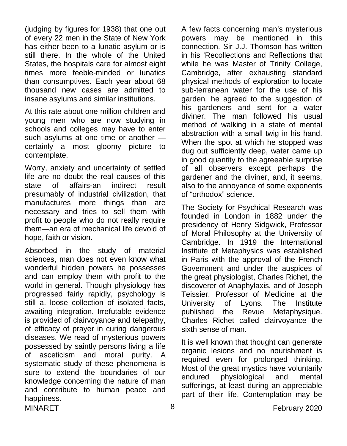(judging by figures for 1938) that one out of every 22 men in the State of New York has either been to a lunatic asylum or is still there. In the whole of the United States, the hospitals care for almost eight times more feeble-minded or lunatics than consumptives. Each year about 68 thousand new cases are admitted to insane asylums and similar institutions.

At this rate about one million children and young men who are now studying in schools and colleges may have to enter such asylums at one time or another certainly a most gloomy picture to contemplate.

Worry, anxiety and uncertainty of settled life are no doubt the real causes of this state of affairs-an indirect result presumably of industrial civilization, that manufactures more things than are necessary and tries to sell them with profit to people who do not really require them—an era of mechanical life devoid of hope, faith or vision.

MINARET 8 8 February 2020 Absorbed in the study of material sciences, man does not even know what wonderful hidden powers he possesses and can employ them with profit to the world in general. Though physiology has progressed fairly rapidly, psychology is still a. loose collection of isolated facts, awaiting integration. Irrefutable evidence is provided of clairvoyance and telepathy, of efficacy of prayer in curing dangerous diseases. We read of mysterious powers possessed by saintly persons living a life of asceticism and moral purity. A systematic study of these phenomena is sure to extend the boundaries of our knowledge concerning the nature of man and contribute to human peace and happiness.

A few facts concerning man's mysterious powers may be mentioned in this connection. Sir J.J. Thomson has written in his 'Recollections and Reflections that while he was Master of Trinity College, Cambridge, after exhausting standard physical methods of exploration to locate sub-terranean water for the use of his garden, he agreed to the suggestion of his gardeners and sent for a water diviner. The man followed his usual method of walking in a state of mental abstraction with a small twig in his hand. When the spot at which he stopped was dug out sufficiently deep, water came up in good quantity to the agreeable surprise of all observers except perhaps the gardener and the diviner, and, it seems, also to the annoyance of some exponents of "orthodox" science.

The Society for Psychical Research was founded in London in 1882 under the presidency of Henry Sidgwick, Professor of Moral Philosophy at the University of Cambridge. In 1919 the International Institute of Metaphysics was established in Paris with the approval of the French Government and under the auspices of the great physiologist, Charles Richet, the discoverer of Anaphylaxis, and of Joseph Teissier, Professor of Medicine at the University of Lyons. The Institute published the Revue Metaphysique. Charles Richet called clairvoyance the sixth sense of man.

It is well known that thought can generate organic lesions and no nourishment is required even for prolonged thinking. Most of the great mystics have voluntarily endured physiological and mental sufferings, at least during an appreciable part of their life. Contemplation may be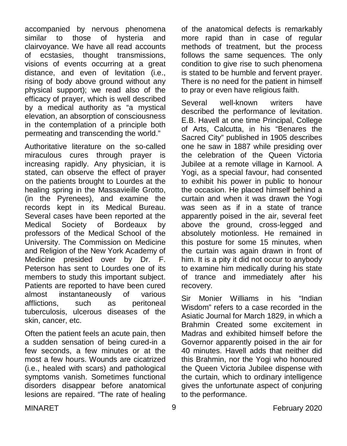accompanied by nervous phenomena similar to those of hysteria and clairvoyance. We have all read accounts of ecstasies, thought transmissions, visions of events occurring at a great distance, and even of levitation (i.e., rising of body above ground without any physical support); we read also of the efficacy of prayer, which is well described by a medical authority as "a mystical elevation, an absorption of consciousness in the contemplation of a principle both permeating and transcending the world."

Authoritative literature on the so-called miraculous cures through prayer is increasing rapidly. Any physician, it is stated, can observe the effect of prayer on the patients brought to Lourdes at the healing spring in the Massavieille Grotto, (in the Pyrenees), and examine the records kept in its Medical Bureau. Several cases have been reported at the Medical Society of Bordeaux by professors of the Medical School of the University. The Commission on Medicine and Religion of the New York Academy of Medicine presided over by Dr. F. Peterson has sent to Lourdes one of its members to study this important subject. Patients are reported to have been cured almost instantaneously of various afflictions, such as peritoneal tuberculosis, ulcerous diseases of the skin, cancer, etc.

Often the patient feels an acute pain, then a sudden sensation of being cured-in a few seconds, a few minutes or at the most a few hours. Wounds are cicatrized (i.e., healed with scars) and pathological symptoms vanish. Sometimes functional disorders disappear before anatomical lesions are repaired. "The rate of healing

of the anatomical defects is remarkably more rapid than in case of regular methods of treatment, but the process follows the same sequences. The only condition to give rise to such phenomena is stated to be humble and fervent prayer. There is no need for the patient in himself to pray or even have religious faith.

Several well-known writers have described the performance of levitation. E.B. Havell at one time Principal, College of Arts, Calcutta, in his "Benares the Sacred City" published in 1905 describes one he saw in 1887 while presiding over the celebration of the Queen Victoria Jubilee at a remote village in Karnool. A Yogi, as a special favour, had consented to exhibit his power in public to honour the occasion. He placed himself behind a curtain and when it was drawn the Yogi was seen as if in a state of trance apparently poised in the air, several feet above the ground, cross-legged and absolutely motionless. He remained in this posture for some 15 minutes, when the curtain was again drawn in front of him. It is a pity it did not occur to anybody to examine him medically during his state of trance and immediately after his recovery.

Sir Monier Williams in his "Indian Wisdom" refers to a case recorded in the Asiatic Journal for March 1829, in which a Brahmin Created some excitement in Madras and exhibited himself before the Governor apparently poised in the air for 40 minutes. Havell adds that neither did this Brahmin, nor the Yogi who honoured the Queen Victoria Jubilee dispense with the curtain, which to ordinary intelligence gives the unfortunate aspect of conjuring to the performance.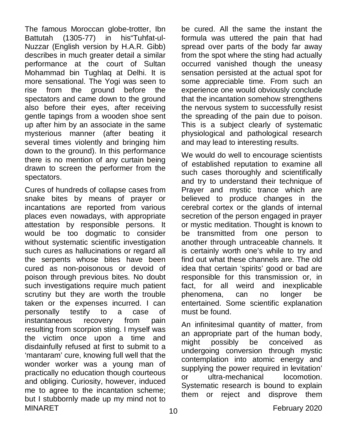The famous Moroccan globe-trotter, Ibn Battutah (1305-77) in his"Tuhfat-ul-Nuzzar (English version by H.A.R. Gibb) describes in much greater detail a similar performance at the court of Sultan Mohammad bin Tughlaq at Delhi. It is more sensational. The Yogi was seen to rise from the ground before the spectators and came down to the ground also before their eyes, after receiving gentle tapings from a wooden shoe sent up after him by an associate in the same mysterious manner (after beating it several times violently and bringing him down to the ground). In this performance there is no mention of any curtain being drawn to screen the performer from the spectators.

MINARET 10 10 10 February 2020 Cures of hundreds of collapse cases from snake bites by means of prayer or incantations are reported from various places even nowadays, with appropriate attestation by responsible persons. It would be too dogmatic to consider without systematic scientific investigation such cures as hallucinations or regard all the serpents whose bites have been cured as non-poisonous or devoid of poison through previous bites. No doubt such investigations require much patient scrutiny but they are worth the trouble taken or the expenses incurred. I can personally testify to a case of instantaneous recovery from pain resulting from scorpion sting. I myself was the victim once upon a time and disdainfully refused at first to submit to a 'mantaram' cure, knowing full well that the wonder worker was a young man of practically no education though courteous and obliging. Curiosity, however, induced me to agree to the incantation scheme; but I stubbornly made up my mind not to

be cured. All the same the instant the formula was uttered the pain that had spread over parts of the body far away from the spot where the sting had actually occurred vanished though the uneasy sensation persisted at the actual spot for some appreciable time. From such an experience one would obviously conclude that the incantation somehow strengthens the nervous system to successfully resist the spreading of the pain due to poison. This is a subject clearly of systematic physiological and pathological research and may lead to interesting results.

We would do well to encourage scientists of established reputation to examine all such cases thoroughly and scientifically and try to understand their technique of Prayer and mystic trance which are believed to produce changes in the cerebral cortex or the glands of internal secretion of the person engaged in prayer or mystic meditation. Thought is known to be transmitted from one person to another through untraceable channels. It is certainly worth one's while to try and find out what these channels are. The old idea that certain 'spirits' good or bad are responsible for this transmission or, in fact, for all weird and inexplicable phenomena, can no longer be entertained. Some scientific explanation must be found.

An infinitesimal quantity of matter, from an appropriate part of the human body, might possibly be conceived as undergoing conversion through mystic contemplation into atomic energy and supplying the power required in levitation' or ultra-mechanical locomotion. Systematic research is bound to explain them or reject and disprove them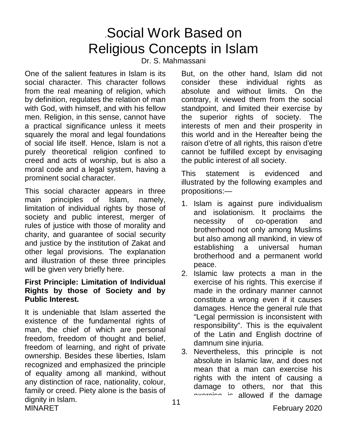### .Social Work Based on Religious Concepts in Islam

Dr. S. Mahmassani

One of the salient features in Islam is its social character. This character follows from the real meaning of religion, which by definition, regulates the relation of man with God, with himself, and with his fellow men. Religion, in this sense, cannot have a practical significance unless it meets squarely the moral and legal foundations of social life itself. Hence, Islam is not a purely theoretical religion confined to creed and acts of worship, but is also a moral code and a legal system, having a prominent social character.

This social character appears in three main principles of Islam, namely, limitation of individual rights by those of society and public interest, merger of rules of justice with those of morality and charity, and guarantee of social security and justice by the institution of Zakat and other legal provisions. The explanation and illustration of these three principles will be given very briefly here.

### **First Principle: Limitation of Individual Rights by those of Society and by Public Interest.**

MINARET **February 2020** It is undeniable that Islam asserted the existence of the fundamental rights of man, the chief of which are personal freedom, freedom of thought and belief, freedom of learning, and right of private ownership. Besides these liberties, Islam recognized and emphasized the principle of equality among all mankind, without any distinction of race, nationality, colour, family or creed. Piety alone is the basis of dignity in Islam.

But, on the other hand, Islam did not consider these individual rights as absolute and without limits. On the contrary, it viewed them from the social standpoint, and limited their exercise by the superior rights of society. The interests of men and their prosperity in this world and in the Hereafter being the raison d'etre of all rights, this raison d'etre cannot be fulfilled except by envisaging the public interest of all society.

This statement is evidenced and illustrated by the following examples and propositions:—

- 1. Islam is against pure individualism and isolationism. It proclaims the necessity of co-operation and brotherhood not only among Muslims but also among all mankind, in view of establishing a universal human brotherhood and a permanent world peace.
- 2. Islamic law protects a man in the exercise of his rights. This exercise if made in the ordinary manner cannot constitute a wrong even if it causes damages. Hence the general rule that "Legal permission is inconsistent with responsibility". This is the equivalent of the Latin and English doctrine of damnum sine injuria.
- 3. Nevertheless, this principle is not absolute in Islamic law, and does not mean that a man can exercise his rights with the intent of causing a damage to others, nor that this exercise is allowed if the damage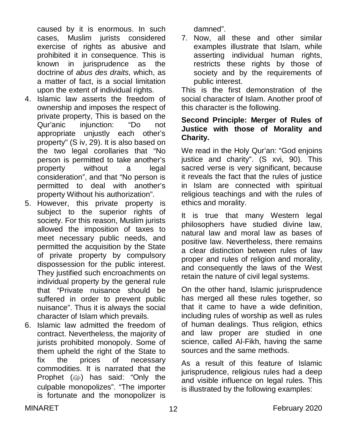caused by it is enormous. In such cases, Muslim jurists considered exercise of rights as abusive and prohibited it in consequence. This is known in jurisprudence as the doctrine of *abus des draits*, which, as a matter of fact, is a social limitation upon the extent of individual rights.

- 4. Islamic law asserts the freedom of ownership and imposes the respect of private property, This is based on the Qur'anic injunction: "Do not appropriate unjustly each other's property" (S iv, 29). It is also based on the two legal corollaries that "No person is permitted to take another's property without a legal consideration", and that "No person is permitted to deal with another's property Without his authorization".
- 5. However, this private property is subject to the superior rights of society. For this reason, Muslim jurists allowed the imposition of taxes to meet necessary public needs, and permitted the acquisition by the State of private property by compulsory dispossession for the public interest. They justified such encroachments on individual property by the general rule that "Private nuisance should be suffered in order to prevent public nuisance". Thus it is always the social character of Islam which prevails.
- 6. Islamic law admitted the freedom of contract. Nevertheless, the majority of jurists prohibited monopoly. Some of them upheld the right of the State to fix the prices of necessary commodities. It is narrated that the Prophet (رضية ) has said: "Only the culpable monopolizes". "The importer is fortunate and the monopolizer is

damned".

7. Now, all these and other similar examples illustrate that Islam, while asserting individual human rights, restricts these rights by those of society and by the requirements of public interest.

This is the first demonstration of the social character of Islam. Another proof of this character is the following.

#### **Second Principle: Merger of Rules of Justice with those of Morality and Charity.**

We read in the Holy Qur'an: "God enjoins justice and charity". (S xvi, 90). This sacred verse is very significant, because it reveals the fact that the rules of justice in Islam are connected with spiritual religious teachings and with the rules of ethics and morality.

It is true that many Western legal philosophers have studied divine law, natural law and moral law as bases of positive law. Nevertheless, there remains a clear distinction between rules of law proper and rules of religion and morality, and consequently the laws of the West retain the nature of civil legal systems.

On the other hand, Islamic jurisprudence has merged all these rules together, so that it came to have a wide definition, including rules of worship as well as rules of human dealings. Thus religion, ethics and law proper are studied in one science, called Al-Fikh, having the same sources and the same methods.

As a result of this feature of Islamic jurisprudence, religious rules had a deep and visible influence on legal rules. This is illustrated by the following examples: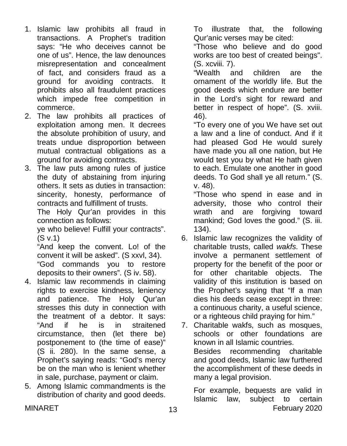- 1. Islamic law prohibits all fraud in transactions. A Prophet's tradition says: "He who deceives cannot be one of us". Hence, the law denounces misrepresentation and concealment of fact, and considers fraud as a ground for avoiding contracts. It prohibits also all fraudulent practices which impede free competition in commerce.
- 2. The law prohibits all practices of exploitation among men. It decrees the absolute prohibition of usury, and treats undue disproportion between mutual contractual obligations as a ground for avoiding contracts.
- 3. The law puts among rules of justice the duty of abstaining from injuring others. It sets as duties in transaction: sincerity, honesty, performance of contracts and fulfillment of trusts.

The Holy Qur'an provides in this connection as follows:

ye who believe! Fulfill your contracts". (S v.1)

"And keep the convent. Lo! of the convent it will be asked". (S xxvl, 34).

"God commands you to restore deposits to their owners". (S iv. 58).

- 4. Islamic law recommends in claiming rights to exercise kindness, leniency and patience. The Holy Qur'an stresses this duty in connection with the treatment of a debtor. It says: "And if he is in straitened circumstance, then (let there be) postponement to (the time of ease)" (S ii. 280). In the same sense, a Prophet's saying reads: "God's mercy be on the man who is lenient whether in sale, purchase, payment or claim.
- 5. Among Islamic commandments is the distribution of charity and good deeds.

To illustrate that, the following Qur'anic verses may be cited:

"Those who believe and do good works are too best of created beings". (S. xcviii. 7).

"Wealth and children are the ornament of the worldly life. But the good deeds which endure are better in the Lord's sight for reward and better in respect of hope". (S. xviii. 46).

"To every one of you We have set out a law and a line of conduct. And if it had pleased God He would surely have made you all one nation, but He would test you by what He hath given to each. Emulate one another in good deeds. To God shall ye all return." (S. v. 48).

"Those who spend in ease and in adversity, those who control their wrath and are forgiving toward mankind; God loves the good." (S. iii. 134).

6. Islamic law recognizes the validity of charitable trusts, called *wakfs*. These involve a permanent settlement of property for the benefit of the poor or for other charitable objects. The validity of this institution is based on the Prophet's saying that "If a man dies his deeds cease except in three: a continuous charity, a useful science, or a righteous child praying for him."

7. Charitable wakfs, such as mosques, schools or other foundations are known in all Islamic countries. Besides recommending charitable and good deeds, Islamic law furthered the accomplishment of these deeds in many a legal provision.

MINARET 13 13 February 2020 For example, bequests are valid in Islamic law, subject to certain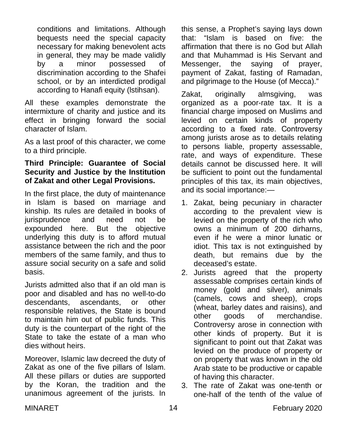conditions and limitations. Although bequests need the special capacity necessary for making benevolent acts in general, they may be made validly by a minor possessed of discrimination according to the Shafei school, or by an interdicted prodigal according to Hanafi equity (lstihsan).

All these examples demonstrate the intermixture of charity and justice and its effect in bringing forward the social character of Islam.

As a last proof of this character, we come to a third principle.

#### **Third Principle: Guarantee of Social Security and Justice by the Institution of Zakat and other Legal Provisions.**

In the first place, the duty of maintenance in Islam is based on marriage and kinship. Its rules are detailed in books of jurisprudence and need not be expounded here. But the objective underlying this duty is to afford mutual assistance between the rich and the poor members of the same family, and thus to assure social security on a safe and solid basis.

Jurists admitted also that if an old man is poor and disabled and has no well-to-do descendants, ascendants, or other responsible relatives, the State is bound to maintain him out of public funds. This duty is the counterpart of the right of the State to take the estate of a man who dies without heirs.

Moreover, Islamic law decreed the duty of Zakat as one of the five pillars of Islam. All these pillars or duties are supported by the Koran, the tradition and the unanimous agreement of the jurists. In

this sense, a Prophet's saying lays down that: "Islam is based on five: the affirmation that there is no God but Allah and that Muhammad is His Servant and Messenger, the saying of prayer, payment of Zakat, fasting of Ramadan, and pilgrimage to the House (of Mecca)."

Zakat, originally almsgiving, was organized as a poor-rate tax. It is a financial charge imposed on Muslims and levied on certain kinds of property according to a fixed rate. Controversy among jurists arose as to details relating to persons liable, property assessable, rate, and ways of expenditure. These details cannot be discussed here. It will be sufficient to point out the fundamental principles of this tax, its main objectives, and its social importance:—

- 1. Zakat, being pecuniary in character according to the prevalent view is levied on the property of the rich who owns a minimum of 200 dirharns, even if he were a minor lunatic or idiot. This tax is not extinguished by death, but remains due by the deceased's estate.
- 2. Jurists agreed that the property assessable comprises certain kinds of money (gold and silver), animals (camels, cows and sheep), crops (wheat, barley dates and raisins), and other goods of merchandise. Controversy arose in connection with other kinds of property. But it is significant to point out that Zakat was levied on the produce of property or on property that was known in the old Arab state to be productive or capable of having this character.
- 3. The rate of Zakat was one-tenth or one-half of the tenth of the value of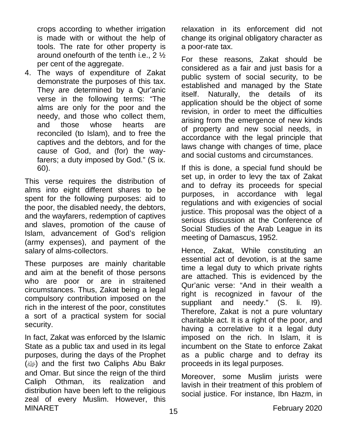crops according to whether irrigation is made with or without the help of tools. The rate for other property is around onefourth of the tenth i.e., 2 ½ per cent of the aggregate.

4. The ways of expenditure of Zakat demonstrate the purposes of this tax. They are determined by a Qur'anic verse in the following terms: "The alms are only for the poor and the needy, and those who collect them, and those whose hearts are reconciled (to Islam), and to free the captives and the debtors, and for the cause of God, and (for) the wayfarers; a duty imposed by God." (S ix. 60).

This verse requires the distribution of alms into eight different shares to be spent for the following purposes: aid to the poor, the disabled needy, the debtors, and the wayfarers, redemption of captives and slaves, promotion of the cause of Islam, advancement of God's religion (army expenses), and payment of the salary of alms-collectors.

These purposes are mainly charitable and aim at the benefit of those persons who are poor or are in straitened circumstances. Thus, Zakat being a legal compulsory contribution imposed on the rich in the interest of the poor, constitutes a sort of a practical system for social security.

MINARET 15 15 and 15 and 15 and 15 and 15 and 15 and 15 and 15 and 15 and 16 and 16 and 16 and 16 and 16 and 16 and 16 and 16 and 16 and 16 and 16 and 16 and 16 and 16 and 16 and 16 and 16 and 16 and 16 and 16 and 16 and 1 In fact, Zakat was enforced by the Islamic State as a public tax and used in its legal purposes, during the days of the Prophet (ﷺ) and the first two Caliphs Abu Bakr and Omar. But since the reign of the third Caliph Othman, its realization and distribution have been left to the religious zeal of every Muslim. However, this

relaxation in its enforcement did not change its original obligatory character as a poor-rate tax.

For these reasons, Zakat should be considered as a fair and just basis for a public system of social security, to be established and managed by the State itself. Naturally, the details of its application should be the object of some revision, in order to meet the difficulties arising from the emergence of new kinds of property and new social needs, in accordance with the legal principle that laws change with changes of time, place and social customs and circumstances.

If this is done, a special fund should be set up, in order to levy the tax of Zakat and to defray its proceeds for special purposes, in accordance with legal regulations and with exigencies of social justice. This proposal was the object of a serious discussion at the Conference of Social Studies of the Arab League in its meeting of Damascus, 1952.

Hence, Zakat, While constituting an essential act of devotion, is at the same time a legal duty to which private rights are attached. This is evidenced by the Qur'anic verse: "And in their wealth a right is recognized in favour of the suppliant and needy." (S. li. I9). Therefore, Zakat is not a pure voluntary charitable act. It is a right of the poor, and having a correlative to it a legal duty imposed on the rich. In Islam, it is incumbent on the State to enforce Zakat as a public charge and to defray its proceeds in its legal purposes.

Moreover, some Muslim jurists were lavish in their treatment of this problem of social justice. For instance, Ibn Hazm, in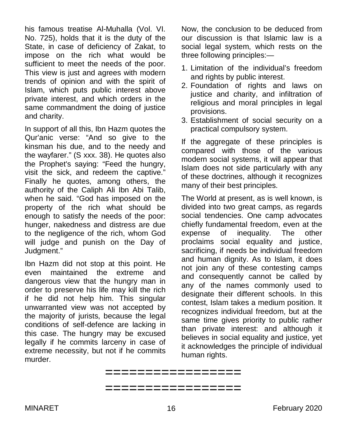his famous treatise Al-Muhalla (Vol. VI. No. 725), holds that it is the duty of the State, in case of deficiency of Zakat, to impose on the rich what would be sufficient to meet the needs of the poor. This view is just and agrees with modern trends of opinion and with the spirit of Islam, which puts public interest above private interest, and which orders in the same commandment the doing of justice and charity.

In support of all this, Ibn Hazm quotes the Qur'anic verse: "And so give to the kinsman his due, and to the needy and the wayfarer." (S xxx. 38). He quotes also the Prophet's saying: "Feed the hungry, visit the sick, and redeem the captive." Finally he quotes, among others, the authority of the Caliph Ali Ibn Abi Talib, when he said. "God has imposed on the property of the rich what should be enough to satisfy the needs of the poor: hunger, nakedness and distress are due to the negligence of the rich, whom God will judge and punish on the Day of Judgment."

Ibn Hazm did not stop at this point. He even maintained the extreme and dangerous view that the hungry man in order to preserve his life may kill the rich if he did not help him. This singular unwarranted view was not accepted by the majority of jurists, because the legal conditions of self-defence are lacking in this case. The hungry may be excused legally if he commits larceny in case of extreme necessity, but not if he commits murder.

Now, the conclusion to be deduced from our discussion is that Islamic law is a social legal system, which rests on the three following principles:—

- 1. Limitation of the individual's freedom and rights by public interest.
- 2. Foundation of rights and laws on justice and charity, and infiltration of religious and moral principles in legal provisions.
- 3. Establishment of social security on a practical compulsory system.

If the aggregate of these principles is compared with those of the various modern social systems, it will appear that Islam does not side particularly with any of these doctrines, although it recognizes many of their best principles.

The World at present, as is well known, is divided into two great camps, as regards social tendencies. One camp advocates chiefly fundamental freedom, even at the expense of inequality. The other proclaims social equality and justice, sacrificing, if needs be individual freedom and human dignity. As to Islam, it does not join any of these contesting camps and consequently cannot be called by any of the names commonly used to designate their different schools. In this contest, Islam takes a medium position. It recognizes individual freedom, but at the same time gives priority to public rather than private interest: and although it believes in social equality and justice, yet it acknowledges the principle of individual human rights.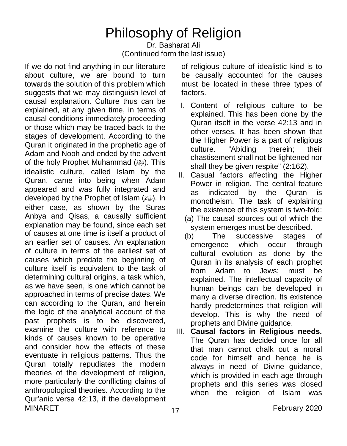# Philosophy of Religion

#### Dr. Basharat Ali (Continued form the last issue)

MINARET 17 17 February 2020 If we do not find anything in our literature about culture, we are bound to turn towards the solution of this problem which suggests that we may distinguish level of causal explanation. Culture thus can be explained, at any given time, in terms of causal conditions immediately proceeding or those which may be traced back to the stages of development. According to the Quran it originated in the prophetic age of Adam and Nooh and ended by the advent of the holy Prophet Muhammad (رَضِهَ). This idealistic culture, called Islam by the Quran, came into being when Adam appeared and was fully integrated and developed by the Prophet of Islam (@). In either case, as shown by the Suras Anbya and Qisas, a causally sufficient explanation may be found, since each set of causes at one time is itself a product of an earlier set of causes. An explanation of culture in terms of the earliest set of causes which predate the beginning of culture itself is equivalent to the task of determining cultural origins, a task which, as we have seen, is one which cannot be approached in terms of precise dates. We can according to the Quran, and herein the logic of the analytical account of the past prophets is to be discovered, examine the culture with reference to kinds of causes known to be operative and consider how the effects of these eventuate in religious patterns. Thus the Quran totally repudiates the modern theories of the development of religion, more particularly the conflicting claims of anthropological theories. According to the Qur'anic verse 42:13, if the development

of religious culture of idealistic kind is to be causally accounted for the causes must be located in these three types of factors.

- I. Content of religious culture to be explained. This has been done by the Quran itself in the verse 42:13 and in other verses. It has been shown that the Higher Power is a part of religious culture. "Abiding therein; their chastisement shall not be lightened nor shall they be given respite" (2:162).
- II. Casual factors affecting the Higher Power in religion. The central feature as indicated by the Quran is monotheism. The task of explaining the existence of this system is two-fold:
	- (a) The causal sources out of which the system emerges must be described.
	- (b) The successive stages of emergence which occur through cultural evolution as done by the Quran in its analysis of each prophet from Adam to Jews; must be explained. The intellectual capacity of human beings can be developed in many a diverse direction. Its existence hardly predetermines that religion will develop. This is why the need of prophets and Divine guidance.
- III. **Causal factors in Religious needs.** The Quran has decided once for all that man cannot chalk out a moral code for himself and hence he is always in need of Divine guidance, which is provided in each age through prophets and this series was closed when the religion of Islam was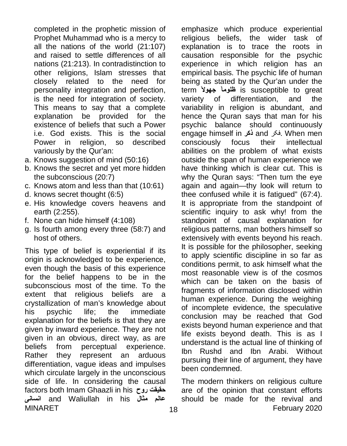completed in the prophetic mission of Prophet Muhammad who is a mercy to all the nations of the world (21:107) and raised to settle differences of all nations (21:213). In contradistinction to other religions, Islam stresses that closely related to the need for personality integration and perfection, is the need for integration of society. This means to say that a complete explanation be provided for the existence of beliefs that such a Power i.e. God exists. This is the social Power in religion, so described variously by the Qur'an:

- a. Knows suggestion of mind (50:16)
- b. Knows the secret and yet more hidden the subconscious (20:7)
- c. Knows atom and less than that (10:61)
- d. knows secret thought (6:5)
- e. His knowledge covers heavens and earth (2:255).
- f. None can hide himself (4:108)
- g. Is fourth among every three (58:7) and host of others.

MINARET 18 18 February 2020 This type of belief is experiential if its origin is acknowledged to be experience, even though the basis of this experience for the belief happens to be in the subconscious most of the time. To the extent that religious beliefs are a crystallization of man's knowledge about his psychic life; the immediate explanation for the beliefs is that they are given by inward experience. They are not given in an obvious, direct way, as are beliefs from perceptual experience. Rather they represent an arduous differentiation, vague ideas and impulses which circulate largely in the unconscious side of life. In considering the causal factors both Imam Ghaazli in his **روح حقیقت انسانی** and Waliullah in his **مثال عالم**

emphasize which produce experiential religious beliefs, the wider task of explanation is to trace the roots in causation responsible for the psychic experience in which religion has an empirical basis. The psychic life of human being as stated by the Qur'an under the term **ًجھولا ًظلوما** is susceptible to great variety of differentiation, and the variability in religion is abundant, and hence the Quran says that man for his psychic balance should continuously engage himself in **ذکر** and فکر. When men consciously focus their intellectual abilities on the problem of what exists outside the span of human experience we have thinking which is clear cut. This is why the Quran says: "Then turn the eye again and again—thy look will return to thee confused while it is fatigued" (67:4). It is appropriate from the standpoint of scientific inquiry to ask why! from the standpoint of causal explanation for religious patterns, man bothers himself so extensively with events beyond his reach. It is possible for the philosopher, seeking to apply scientific discipline in so far as conditions permit, to ask himself what the most reasonable view is of the cosmos which can be taken on the basis of fragments of information disclosed within human experience. During the weighing of incomplete evidence, the speculative conclusion may be reached that God exists beyond human experience and that life exists beyond death. This is as I understand is the actual line of thinking of Ibn Rushd and Ibn Arabi. Without pursuing their line of argument, they have been condemned.

The modern thinkers on religious culture are of the opinion that constant efforts should be made for the revival and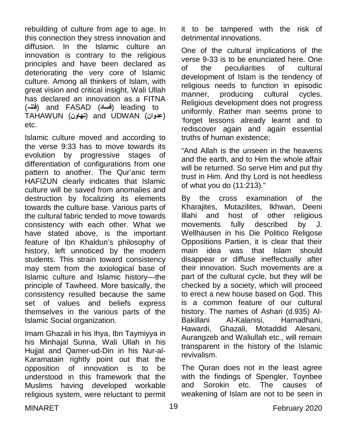rebuilding of culture from age to age. In this connection they stress innovation and diffusion. In the Islamic culture an innovation is contrary to the religious principles and have been declared as deteriorating the very core of Islamic culture. Among all thinkers of Islam, with great vision and critical insight, Wali Ullah has declared an innovation as a FITNA (**فتنہ** (and FASAD (**فساد** (leading to TAHAWUN (**تھاون** (and UDWAN (**عدوان** ( etc.

Islamic culture moved and according to the verse 9:33 has to move towards its evolution by progressive stages of differentiation of configurations from one pattern to another. The Qur'anic term HAFIZUN clearly indicates that Islamic culture will be saved from anomalies and destruction by focalizing its elements towards the culture base. Various parts of the cultural fabric tended to move towards consistency with each other. What we have stated above, is the important feature of Ibn Khaldun's philosophy of history, left unnoticed by the modern students. This strain toward consistency may stem from the axiological base of Islamic culture and Islamic history—the principle of Tawheed. More basically, the consistency resulted because the same set of values and beliefs express themselves in the various parts of the Islamic Social organization.

Imam Ghazali in his Ihya, Ibn Taymiyya in his Minhajal Sunna, Wali Ullah in his Hujjat and Qamer-ud-Din in his Nur-al-Karamatain rightly point out that the opposition of innovation is to be understood in this framework that the Muslims having developed workable religious system, were reluctant to permit

it to be tampered with the risk of detrimental innovations.

One of the cultural implications of the verse 9-33 is to be enunciated here. One of the peculiarities of cultural development of Islam is the tendency of religious needs to function in episodic manner, producing cultural cycles. Religious development does not progress uniformly. Rather man seems prone to 'forget lessons already learnt and to rediscover again and again essential truths of human existence;

"And Allah is the unseen in the heavens and the earth, and to Him the whole affair will be returned. So serve Him and put thy trust in Him. And thy Lord is not heedless of what you do (11:213)."

By the cross examination of the Kharajites, Mutazilites, Ikhwan, Deeni Illahi and host of other religious movements fully described by J. Wellhausen in his Die Politico Religose Oppositions Partien, it is clear that their main idea was that Islam should disappear or diffuse ineffectually after their innovation. Such movements are a part of the cultural cycle, but they will be checked by a society, which will proceed to erect a new house based on God. This is a common feature of our cultural history. The names of Ashari (d.935) Al-Bakillani Al-Kalanisi, Harnadhani, Hawardi, Ghazali, Motaddid Alesani, Aurangzeb and Waliullah etc., will remain transparent in the history of the Islamic revivalism.

The Quran does not in the least agree with the findings of Spengler, Toynbee and Sorokin etc. The causes of weakening of Islam are not to be seen in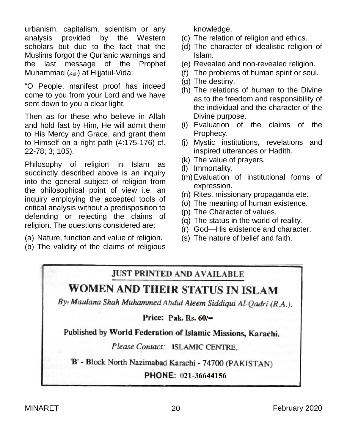urbanism, capitalism, scientism or any analysis provided by the Western scholars but due to the fact that the Muslims forgot the Qur'anic warnings and the last message of the Prophet Muhammad (رضية ) at Hijjatul-Vida:

"O People, manifest proof has indeed come to you from your Lord and we have sent down to you a clear light.

Then as for these who believe in Allah and hold fast by Him, He will admit them to His Mercy and Grace, and grant them to Himself on a right path (4:175-176) cf. 22-78; 3; 105).

Philosophy of religion in Islam as succinctly described above is an inquiry into the general subject of religion from the philosophical point of view i.e. an inquiry employing the accepted tools of critical analysis without a predisposition to defending or rejecting the claims of religion. The questions considered are:

- (a) Nature, function and value of religion.
- (b) The validity of the claims of religious

knowledge.

- (c) The relation of religion and ethics.
- (d) The character of idealistic religion of Islam.
- (e) Revealed and non-revealed religion.
- (f) The problems of human spirit or soul.
- (g) The destiny.
- (h) The relations of human to the Divine as to the freedom and responsibility of the individual and the character of the Divine purpose.
- (i) Evaluation of the claims of the Prophecy.
- (j) Mystic institutions, revelations and inspired utterances or Hadith.
- (k) The value of prayers.
- (l) Immortality.
- (m)Evaluation of institutional forms of expression.
- (n) Rites, missionary propaganda ete.
- (o) The meaning of human existence.
- (p) The Character of values.
- (q) The status in the world of reality.
- (r) God—His existence and character.
- (s) The nature of belief and faith.

### **JUST PRINTED AND AVAILABLE**

### WOMEN AND THEIR STATUS IN ISLAM

By: Maulana Shah Muhammed Abdul Aleem Siddiqui Al-Qadri (R.A.).

Price: Pak.  $Rs. 60/=$ 

Published by World Federation of Islamic Missions, Karachi.

Please Contact: ISLAMIC CENTRE,

'B' - Block North Nazimabad Karachi - 74700 (PAKISTAN)

PHONE: 021-36644156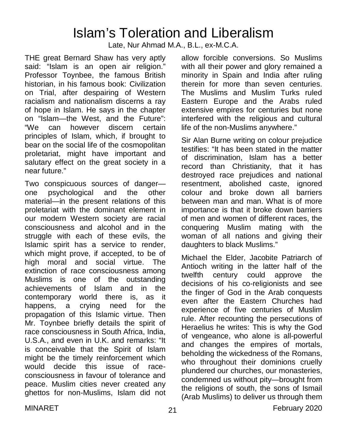### Islam's Toleration and Liberalism

Late, Nur Ahmad M.A., B.L., ex-M.C.A.

THE great Bernard Shaw has very aptly said: "Islam is an open air religion." Professor Toynbee, the famous British historian, in his famous book: Civilization on Trial, after despairing of Western racialism and nationalism discerns a ray of hope in Islam. He says in the chapter on "Islam—the West, and the Future": "We can however discern certain principles of Islam, which, if brought to bear on the social life of the cosmopolitan proletariat, might have important and salutary effect on the great society in a near future."

Two conspicuous sources of danger one psychological and the other material—in the present relations of this proletariat with the dominant element in our modern Western society are racial consciousness and alcohol and in the struggle with each of these evils, the Islamic spirit has a service to render, which might prove, if accepted, to be of high moral and social virtue. The extinction of race consciousness among Muslims is one of the outstanding achievements of Islam and in the contemporary world there is, as it happens, a crying need for the propagation of this Islamic virtue. Then Mr. Toynbee briefly details the spirit of race consciousness in South Africa, India, U.S.A., and even in U.K. and remarks: "It is conceivable that the Spirit of Islam might be the timely reinforcement which would decide this issue of raceconsciousness in favour of tolerance and peace. Muslim cities never created any ghettos for non-Muslims, Islam did not

allow forcible conversions. So Muslims with all their power and glory remained a minority in Spain and India after ruling therein for more than seven centuries. The Muslims and Muslim Turks ruled Eastern Europe and the Arabs ruled extensive empires for centuries but none interfered with the religious and cultural life of the non-Muslims anywhere."

Sir Alan Burne writing on colour prejudice testifies: "It has been stated in the matter of discrimination, Islam has a better record than Christianity, that it has destroyed race prejudices and national resentment, abolished caste, ignored colour and broke down all barriers between man and man. What is of more importance is that it broke down barriers of men and women of different races, the conquering Muslim mating with the woman of all nations and giving their daughters to black Muslims."

Michael the Elder, Jacobite Patriarch of Antioch writing in the latter half of the twelfth century could approve the decisions of his co-religionists and see the finger of God in the Arab conquests even after the Eastern Churches had experience of five centuries of Muslim rule. After recounting the persecutions of Heraelius he writes: This is why the God of vengeance, who alone is all-powerful and changes the empires of mortals, beholding the wickedness of the Romans, who throughout their dominions cruelly plundered our churches, our monasteries, condemned us without pity—brought from the religions of south, the sons of Ismail (Arab Muslims) to deliver us through them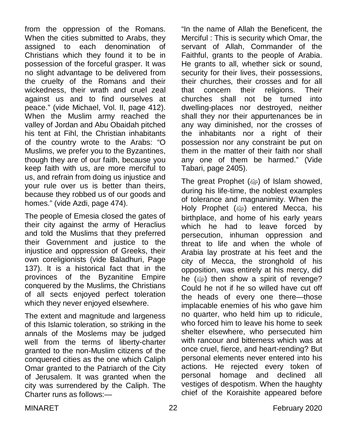from the oppression of the Romans. When the cities submitted to Arabs, they assigned to each denomination of Christians which they found it to be in possession of the forceful grasper. It was no slight advantage to be delivered from the cruelty of the Romans and their wickedness, their wrath and cruel zeal against us and to find ourselves at peace." (vide Michael, Vol. II, page 412). When the Muslim army reached the valley of Jordan and Abu Obaidah pitched his tent at Fihl, the Christian inhabitants of the country wrote to the Arabs: "O Muslims, we prefer you to the Byzantines, though they are of our faith, because you keep faith with us, are more merciful to us, and refrain from doing us injustice and your rule over us is better than theirs, because they robbed us of our goods and homes." (vide Azdi, page 474).

The people of Emesia closed the gates of their city against the army of Heraclius and told the Muslims that they preferred their Government and justice to the injustice and oppression of Greeks, their own coreligionists (vide Baladhuri, Page 137). It is a historical fact that in the provinces of the Byzanitine Empire conquered by the Muslims, the Christians of all sects enjoyed perfect toleration which they never enjoyed elsewhere.

The extent and magnitude and largeness of this Islamic toleration, so striking in the annals of the Moslems may be judged well from the terms of liberty-charter granted to the non-Muslim citizens of the conquered cities as the one which Caliph Omar granted to the Patriarch of the City of Jerusalem. It was granted when the city was surrendered by the Caliph. The Charter runs as follows:—

"In the name of Allah the Beneficent, the Merciful : This is security which Omar, the servant of Allah, Commander of the Faithful, grants to the people of Arabia. He grants to all, whether sick or sound, security for their lives, their possessions, their churches, their crosses and for all that concern their religions. Their churches shall not be turned into dwelling-places nor destroyed, neither shall they nor their appurtenances be in any way diminished, nor the crosses of the inhabitants nor a right of their possession nor any constraint be put on them in the matter of their faith nor shall any one of them be harmed." (Vide Tabari, page 2405).

The great Prophet (@) of Islam showed, during his life-time, the noblest examples of tolerance and magnanimity. When the Holy Prophet (<a>>
entered Mecca, his</a> birthplace, and home of his early years which he had to leave forced by persecution, inhuman oppression and threat to life and when the whole of Arabia lay prostrate at his feet and the city of Mecca, the stronghold of his opposition, was entirely at his mercy, did he  $(\omega)$  then show a spirit of revenge? Could he not if he so willed have cut off the heads of every one there—those implacable enemies of his who gave him no quarter, who held him up to ridicule, who forced him to leave his home to seek shelter elsewhere, who persecuted him with rancour and bitterness which was at once cruel, fierce, and heart-rending? But personal elements never entered into his actions. He rejected every token of personal homage and declined all vestiges of despotism. When the haughty chief of the Koraishite appeared before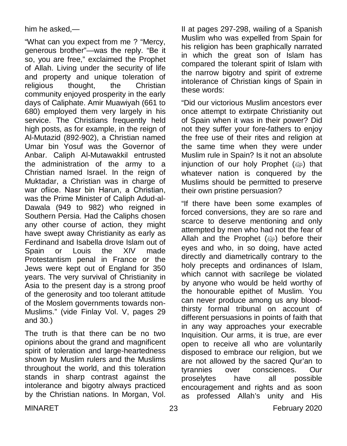him he asked,—

"What can you expect from me ? "Mercy, generous brother"—was the reply. "Be it so, you are free," exclaimed the Prophet of Allah. Living under the security of life and property and unique toleration of religious thought, the Christian community enjoyed prosperity in the early days of Caliphate. Amir Muawiyah (661 to 680) employed them very largely in his service. The Christians frequently held high posts, as for example, in the reign of Al-Mutazid (892-902), a Christian named Umar bin Yosuf was the Governor of Anbar. Caliph Al-Mutawakkil entrusted the administration of the army to a Christian named Israel. In the reign of Muktadar, a Christian was in charge of war ofiice. Nasr bin Harun, a Christian, was the Prime Minister of Caliph Adud-al-Dawala (949 to 982) who reigned in Southern Persia. Had the Caliphs chosen any other course of action, they might have swept away Christianity as early as Ferdinand and Isabella drove Islam out of Spain or Louis the XIV made Protestantism penal in France or the Jews were kept out of England for 350 years. The very survival of Christianity in Asia to the present day is a strong proof of the generosity and too tolerant attitude of the Moslem governments towards non-Muslims." (vide Finlay Vol. V, pages 29 and 30.)

The truth is that there can be no two opinions about the grand and magnificent spirit of toleration and large-heartedness shown by Muslim rulers and the Muslims throughout the world, and this toleration stands in sharp contrast against the intolerance and bigotry always practiced by the Christian nations. In Morgan, Vol.

II at pages 297-298, wailing of a Spanish Muslim who was expelled from Spain for his religion has been graphically narrated in which the great son of Islam has compared the tolerant spirit of Islam with the narrow bigotry and spirit of extreme intolerance of Christian kings of Spain in these words:

"Did our victorious Muslim ancestors ever once attempt to extirpate Christianity out of Spain when it was in their power? Did not they suffer your fore-fathers to enjoy the free use of their rites and religion at the same time when they were under Muslim rule in Spain? Is it not an absolute injunction of our holy Prophet (@) that whatever nation is conquered by the Muslims should be permitted to preserve their own pristine persuasion?

"If there have been some examples of forced conversions, they are so rare and scarce to deserve mentioning and only attempted by men who had not the fear of Allah and the Prophet (رضة) before their eyes and who, in so doing, have acted directly and diametrically contrary to the holy precepts and ordinances of Islam, which cannot with sacrilege be violated by anyone who would be held worthy of the honourable epithet of Muslim. You can never produce among us any bloodthirsty formal tribunal on account of different persuasions in points of faith that in any way approaches your execrable Inquisition. Our arms, it is true, are ever open to receive all who are voluntarily disposed to embrace our religion, but we are not allowed by the sacred Qur'an to tyrannies over consciences. Our proselytes have all possible encouragement and rights and as soon as professed Allah's unity and His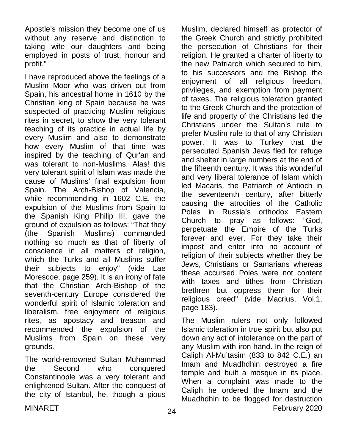Apostle's mission they become one of us without any reserve and distinction to taking wife our daughters and being employed in posts of trust, honour and profit."

I have reproduced above the feelings of a Muslim Moor who was driven out from Spain, his ancestral home in 1610 by the Christian king of Spain because he was suspected of practicing Muslim religious rites in secret, to show the very tolerant teaching of its practice in actual life by every Muslim and also to demonstrate how every Muslim of that time was inspired by the teaching of Qur'an and was tolerant to non-Muslims. Alas! this very tolerant spirit of Islam was made the cause of Muslims' final expulsion from Spain. The Arch-Bishop of Valencia, while recommending in 1602 C.E. the expulsion of the Muslims from Spain to the Spanish King Philip III, gave the ground of expulsion as follows: "That they (the Spanish Muslims) commanded nothing so much as that of liberty of conscience in all matters of religion, which the Turks and all Muslims suffer their subjects to enjoy" (vide Lae Morescoe, page 259). It is an irony of fate that the Christian Arch-Bishop of the seventh-century Europe considered the wonderful spirit of Islamic toleration and liberalism, free enjoyment of religious rites, as apostacy and treason and recommended the expulsion of the Muslims from Spain on these very grounds.

The world-renowned Sultan Muhammad the Second who conquered Constantinople was a very tolerant and enlightened Sultan. After the conquest of the city of Istanbul, he, though a pious

Muslim, declared himself as protector of the Greek Church and strictly prohibited the persecution of Christians for their religion. He granted a charter of liberty to the new Patriarch which secured to him, to his successors and the Bishop the enjoyment of all religious freedom. privileges, and exemption from payment of taxes. The religious toleration granted to the Greek Church and the protection of life and property of the Christians led the Christians under the Sultan's rule to prefer Muslim rule to that of any Christian power. It was to Turkey that the persecuted Spanish Jews fled for refuge and shelter in large numbers at the end of the fifteenth century. It was this wonderful and very liberal tolerance of Islam which led Macaris, the Patriarch of Antioch in the seventeenth century, after bitterly causing the atrocities of the Catholic Poles in Russia's orthodox Eastern Church to pray as follows: "God, perpetuate the Empire of the Turks forever and ever. For they take their impost and enter into no account of religion of their subjects whether they be Jews, Christians or Samarians whereas these accursed Poles were not content with taxes and tithes from Christian brethren but oppress them for their religious creed" (vide Macrius, Vol.1, page 183).

MINARET 24 CONTROLLER CONTROLLER THE SECOND STATE SECOND PART OF THE SECOND SECOND SECOND SECOND SECOND SECOND SECOND SECOND SECOND SECOND SECOND SECOND SECOND SECOND SECOND SECOND SECOND SECOND SECOND SECOND SECOND SECOND The Muslim rulers not only followed Islamic toleration in true spirit but also put down any act of intolerance on the part of any Muslim with iron hand. In the reign of Caliph Al-Mu'tasim (833 to 842 C.E.) an Imam and Muadhdhin destroyed a fire temple and built a mosque in its place. When a complaint was made to the Caliph he ordered the Imam and the Muadhdhin to be flogged for destruction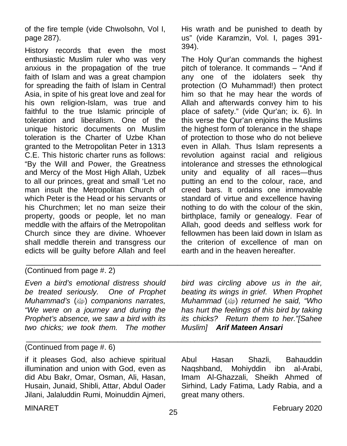of the fire temple (vide Chwolsohn, Vol I, page 287).

History records that even the most enthusiastic Muslim ruler who was very anxious in the propagation of the true faith of Islam and was a great champion for spreading the faith of Islam in Central Asia, in spite of his great love and zeal for his own religion-Islam, was true and faithful to the true Islamic principle of toleration and liberalism. One of the unique historic documents on Muslim toleration is the Charter of Uzbe Khan granted to the Metropolitan Peter in 1313 C.E. This historic charter runs as follows: "By the Will and Power, the Greatness and Mercy of the Most High Allah, Uzbek to all our princes, great and small 'Let no man insult the Metropolitan Church of which Peter is the Head or his servants or his Churchmen; let no man seize their property, goods or people, let no man meddle with the affairs of the Metropolitan Church since they are divine. Whoever shall meddle therein and transgress our edicts will be guilty before Allah and feel

His wrath and be punished to death by us" (vide Karamzin, Vol. I, pages 391- 394).

The Holy Qur'an commands the highest pitch of tolerance. It commands – "And if any one of the idolaters seek thy protection (O Muhammad!) then protect him so that he may hear the words of Allah and afterwards convey him to his place of safety." (vide Qur'an; ix. 6). In this verse the Qur'an enjoins the Muslims the highest form of tolerance in the shape of protection to those who do not believe even in Allah. Thus Islam represents a revolution against racial and religious intolerance and stresses the ethnological unity and equality of all races—thus putting an end to the colour, race, and creed bars. It ordains one immovable standard of virtue and excellence having nothing to do with the colour of the skin, birthplace, family or genealogy. Fear of Allah, good deeds and selfless work for fellowmen has been laid down in Islam as the criterion of excellence of man on earth and in the heaven hereafter.

### (Continued from page #. 2)

*Even a bird's emotional distress should be treated seriously. One of Prophet Muhammad's* (ﷺ) companions narrates, *"We were on a journey and during the Prophet's absence, we saw a bird with its two chicks; we took them. The mother*  *bird was circling above us in the air, beating its wings in grief. When Prophet Muhammad (* $\gg$ *)* returned he said, "Who *has hurt the feelings of this bird by taking its chicks? Return them to her."[Sahee Muslim] Arif Mateen Ansari*

#### \_\_\_\_\_\_\_\_\_\_\_\_\_\_\_\_\_\_\_\_\_\_\_\_\_\_\_\_\_\_\_\_\_\_\_\_\_\_\_\_\_\_\_\_\_\_\_\_\_\_\_\_\_\_\_\_\_\_\_\_\_\_\_\_\_\_\_\_\_\_ (Continued from page #. 6)

if it pleases God, also achieve spiritual illumination and union with God, even as did Abu Bakr, Omar, Osman, Ali, Hasan, Husain, Junaid, Shibli, Attar, Abdul Oader Jilani, Jalaluddin Rumi, Moinuddin Ajmeri,

Abul Hasan Shazli, Bahauddin Naqshband, Mohiyddin ibn al-Arabi, Imam Al-Ghazzali, Sheikh Ahmed of Sirhind, Lady Fatima, Lady Rabia, and a great many others.

\_\_\_\_\_\_\_\_\_\_\_\_\_\_\_\_\_\_\_\_\_\_\_\_\_\_\_\_\_\_\_\_\_\_\_\_\_\_\_\_\_\_\_\_\_\_\_\_\_\_\_\_\_\_\_\_\_\_\_\_\_\_\_\_\_\_\_\_\_\_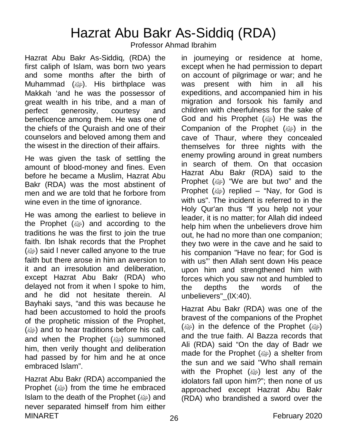## Hazrat Abu Bakr As-Siddiq (RDA)

Professor Ahmad Ibrahim

Hazrat Abu Bakr As-Siddiq, (RDA) the first caliph of Islam, was born two years and some months after the birth of Muhammad (ﷺ). His birthplace was Makkah 'and he was the possessor of great wealth in his tribe, and a man of perfect generosity, courtesy and beneficence among them. He was one of the chiefs of the Quraish and one of their counselors and beloved among them and the wisest in the direction of their affairs.

He was given the task of settling the amount of blood-money and fines. Even before he became a Muslim, Hazrat Abu Bakr (RDA) was the most abstinent of men and we are told that he forbore from wine even in the time of ignorance.

He was among the earliest to believe in the Prophet  $(\omega)$  and according to the traditions he was the first to join the true faith. lbn lshak records that the Prophet ( $\omega$ ) said I never called anyone to the true faith but there arose in him an aversion to it and an irresolution and deliberation, except Hazrat Abu Bakr (RDA) who delayed not from it when l spoke to him, and he did not hesitate therein. Al Bayhaki says, "and this was because he had been accustomed to hold the proofs of the prophetic mission of the Prophet, (ﷺ) and to hear traditions before his call, and when the Prophet (@) summoned him, then verily thought and deliberation had passed by for him and he at once embraced lslam".

MINARET 2020 26 26 February 2020 Hazrat Abu Bakr (RDA) accompanied the Prophet (<a>>
from the time he embraced Islam to the death of the Prophet (@) and never separated himself from him either

in journeying or residence at home, except when he had permission to depart on account of pilgrimage or war; and he was present with him in all his expeditions, and accompanied him in his migration and forsook his family and children with cheerfulness for the sake of God and his Prophet  $(\omega)$  He was the Companion of the Prophet  $(\omega)$  in the cave of Thaur, where they concealed themselves for three nights with the enemy prowling around in great numbers in search of them. On that occasion Hazrat Abu Bakr (RDA) said to the Prophet (@) "We are but two" and the Prophet  $(\omega)$  replied – "Nay, for God is with us". The incident is referred to in the Holy Qur'an thus "lf you help not your leader, it is no matter; for Allah did indeed help him when the unbelievers drove him out, he had no more than one companion; they two were in the cave and he said to his companion "Have no fear; for God is with us"' then Allah sent down His peace upon him and strengthened him with forces which you saw not and humbled to the depths the words of the unbelievers"\_(lX:40).

Hazrat Abu Bakr (RDA) was one of the bravest of the companions of the Prophet (@) in the defence of the Prophet (@) and the true faith. Al Bazza records that Ali (RDA) said "On the day of Badr we made for the Prophet (ﷺ) a shelter from the sun and we said "Who shall remain with the Prophet (ﷺ) lest any of the idolators fall upon him?"; then none of us approached except Hazrat Abu Bakr (RDA) who brandished a sword over the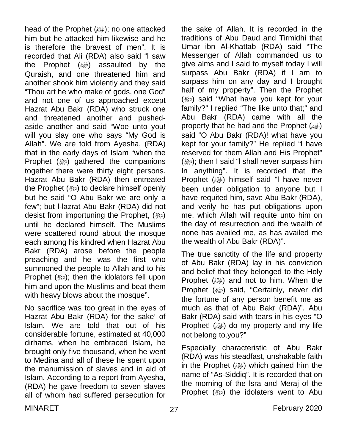head of the Prophet (صلى ); no one attacked him but he attacked him likewise and he is therefore the bravest of men". It is recorded that Ali (RDA) also said "l saw the Prophet  $(\omega)$  assaulted by the Quraish, and one threatened him and another shook him violently and they said "Thou art he who make of gods, one God" and not one of us approached except Hazrat Abu Bakr (RDA) who struck one and threatened another and pushedaside another and said "Woe unto you! will you slay one who says "My God is Allah". We are told from Ayesha, (RDA) that in the early days of Islam "when the Prophet (ﷺ) gathered the companions together there were thirty eight persons. Hazrat Abu Bakr (RDA) then entreated the Prophet (@) to declare himself openly but he said "O Abu Bakr we are only a few"; but l-lazrat Abu Bakr (RDA) did not desist from importuning the Prophet, (@) until he declared himself. The Muslims were scattered round about the mosque each among his kindred when Hazrat Abu Bakr (RDA) arose before the people preaching and he was the first who summoned the people to Allah and to his Prophet (@); then the idolators fell upon him and upon the Muslims and beat them with heavy blows about the mosque".

No sacrifice was too great in the eyes of Hazrat Abu Bakr (RDA) for the sake' of Islam. We are told that out of his considerable fortune, estimated at 40,000 dirhams, when he embraced Islam, he brought only five thousand, when he went to Medina and all of these he spent upon the manumission of slaves and in aid of Islam. According to a report from Ayesha, (RDA) he gave freedom to seven slaves all of whom had suffered persecution for

the sake of Allah. It is recorded in the traditions of Abu Daud and Tirmidhi that Umar ibn Al-Khattab (RDA) said "The Messenger of Allah commanded us to give alms and I said to myself today I will surpass Abu Bakr (RDA) if I am to surpass him on any day and I brought half of my property". Then the Prophet (<a>>said "What have you kept for your family?" I replied "The like unto that;" and Abu Bakr (RDA) came with all the property that he had and the Prophet (@) said "O Abu Bakr (RDA)! what have you kept for your family?" He replied "l have reserved for them Allah and His Prophet" (@); then I said "I shall never surpass him In anything". It is recorded that the Prophet (@) himself said "I have never been under obligation to anyone but I have requited him, save Abu Bakr (RDA), and verily he has put obligations upon me, which Allah will requite unto him on the day of resurrection and the wealth of none has availed me, as has availed me the wealth of Abu Bakr (RDA)".

The true sanctity of the life and property of Abu Bakr (RDA) lay in his conviction and belief that they belonged to the Holy Prophet  $(\omega)$  and not to him. When the Prophet (@) said, "Certainly, never did the fortune of any person benefit me as much as that of Abu Bakr (RDA)". Abu Bakr (RDA) said with tears in his eyes "O Prophet! (ﷺ) do my property and my life not belong to.you?"

Especially characteristic of Abu Bakr (RDA) was his steadfast, unshakable faith in the Prophet  $(\omega)$  which gained him the name of "As-Siddiq". It is recorded that on the morning of the lsra and Meraj of the Prophet (ﷺ) the idolaters went to Abu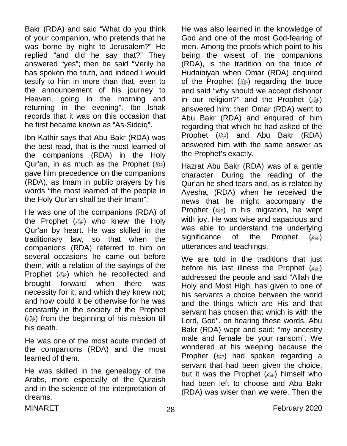Bakr (RDA) and said "What do you think of your companion, who pretends that he was borne by night to Jerusalem?" He replied "and did he say that?" They answered "yes"; then he said "Verily he has spoken the truth, and indeed I would testify to him in more than that, even to the announcement of his journey to Heaven, going in the morning and returning in the evening". Ibn lshak records that it was on this occasion that he first became known as "As-Siddiq".

Ibn Kathir says that Abu Bakr (RDA) was the best read, that is the most learned of the companions (RDA) in the Holy Qur'an, in as much as the Prophet (@) gave him precedence on the companions (RDA), as Imam in public prayers by his words "the most learned of the people in the Holy Qur'an shall be their Imam".

He was one of the companions (RDA) of the Prophet  $(\omega)$  who knew the Holy Qur'an by heart. He was skilled in the traditionary law, so that when the companions (RDA) referred to him on several occasions he came out before them, with a relation of the sayings of the Prophet (ﷺ) which he recollected and brought forward when there was necessity for it, and which they knew not; and how could it be otherwise for he was constantly in the society of the Prophet  $(\omega)$  from the beginning of his mission till his death.

He was one of the most acute minded of the companions (RDA) and the most learned of them.

He was skilled in the genealogy of the Arabs, more especially of the Quraish and in the science of the interpretation of dreams.

He was also learned in the knowledge of God and one of the most God-fearing of men. Among the proofs which point to his being the wisest of the companions (RDA), is the tradition on the truce of Hudaibiyah when Omar (RDA) enquired of the Prophet  $(\omega)$  regarding the truce and said "why should we accept dishonor in our religion?" and the Prophet  $(\omega)$ answered him: then Omar (RDA) went to Abu Bakr (RDA) and enquired of him regarding that which he had asked of the Prophet (@) and Abu Bakr (RDA) answered him with the same answer as the Prophet's exactly.

Hazrat Abu Bakr (RDA) was of a gentle character. During the reading of the Qur'an he shed tears and, as is related by Ayesha, (RDA) when he received the news that he might accompany the Prophet (<a>>  $(i)$  in his migration, he wept with joy. He was wise and sagacious and was able to understand the underlying significance of the Prophet (ﷺ) utterances and teachings.

We are told in the traditions that just before his last illness the Prophet  $(\omega)$ addressed the people and said "Allah the Holy and Most High, has given to one of his servants a choice between the world and the things which are His and that servant has chosen that which is with the Lord, God". on hearing these words, Abu Bakr (RDA) wept and said: "my ancestry male and female be your ransom". We wondered at his weeping because the Prophet (@) had spoken regarding a servant that had been given the choice, but it was the Prophet (@) himself who had been left to choose and Abu Bakr (RDA) was wiser than we were. Then the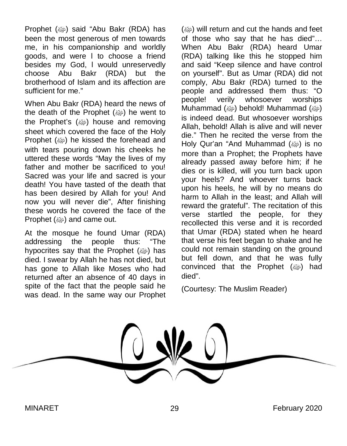Prophet (@) said "Abu Bakr (RDA) has been the most generous of men towards me, in his companionship and worldly goods, and were l to choose a friend besides my God, l would unreservedly choose Abu Bakr (RDA) but the brotherhood of Islam and its affection are sufficient for me."

When Abu Bakr (RDA) heard the news of the death of the Prophet  $(\omega)$  he went to the Prophet's (رَضِهَا house and removing sheet which covered the face of the Holy Prophet (ﷺ) he kissed the forehead and with tears pouring down his cheeks he uttered these words "May the lives of my father and mother be sacrificed to you! Sacred was your life and sacred is your death! You have tasted of the death that has been desired by Allah for you! And now you will never die", After finishing these words he covered the face of the Prophet  $(\omega)$  and came out.

At the mosque he found Umar (RDA) addressing the people thus: "The hypocrites say that the Prophet (@) has died. I swear by Allah he has not died, but has gone to Allah like Moses who had returned after an absence of 40 days in spite of the fact that the people said he was dead. In the same way our Prophet

(ﷺ) will return and cut the hands and feet of those who say that he has died"… When Abu Bakr (RDA) heard Umar (RDA) talking like this he stopped him and said "Keep silence and have control on yourself". But as Umar (RDA) did not comply, Abu Bakr (RDA) turned to the people and addressed them thus: "O people! verily whosoever worships Muhammad (ﷺ) behold! Muhammad (وَاللَّهَا is indeed dead. But whosoever worships Allah, behold! Allah is alive and will never die." Then he recited the verse from the Holy Qur'an "And Muhammad (@) is no more than a Prophet; the Prophets have already passed away before him; if he dies or is killed, will you turn back upon your heels? And whoever turns back upon his heels, he will by no means do harm to Allah in the least; and Allah will reward the grateful". The recitation of this verse startled the people, for they recollected this verse and it is recorded that Umar (RDA) stated when he heard that verse his feet began to shake and he could not remain standing on the ground but fell down, and that he was fully convinced that the Prophet  $(\omega)$  had died".

(Courtesy: The Muslim Reader)

MINARET 29 September 2020 and the contract of the contract 2020 and the February 2020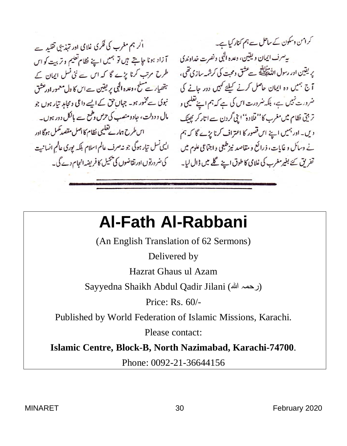اً کر ہم مغرب کی فکری غلامی ادر تہذیبی تقلید ہے۔ آ زاد ہونا جا ہتے ہیں تو ہمیں اپنے نظام تعلیم و تربیت کو اس طرح مرتب کرنا پڑے گا کہ اس سے نئی نسل ایمان کے ہتھیار ہے کے، وعدہ الٰہی پر یقین ہے اس کا دل معمور اورعشق اس طرح ہمارے تعلیمی نظام کا اصل مقصد مکمل ہوگا اور نے دسائل و غایات، ذرائع و مقاصد نیز طبعی واجباعی علوم میں یہ ایکی نسل تیار ہوگی جو نہ صرف عالم اسلام بلکہ لپوری عالم انسانیت

کرامن دسکون کے ساحل ہے ہم کنار کیا ہے۔ به سرف ایمان و یقین، وعده البی ونصرت خداوندی پریقین اور رسول ام<del>ندائیڈ</del> سے عشق ومحبت کی کرشمہ سازی تھی، آج جمیں وہ ایمان حاصل کرنے کیلئے کہیں دور جانے کی تر بہتی نظام میں مغرب کا'' قلادہ'' اپنی گردن ہے اتار کر پھینک یال و دولت، جادومنصب کی حرص دطمع ہے بالکل دور ہوں۔ دیں۔ ادر ہمیں اپنے اس قصور کا اعتراف کرنا بڑے گا کہ ہم تفریق نئے بغیر مغرب کی غلامی کا طوق اپنے گلے میں ڈال لیا۔ گی ضرورتوں اورتقاضوں کی پھیل کا فریضہ انجام دے گی۔

# **Al-Fath Al-Rabbani**

(An English Translation of 62 Sermons)

Delivered by

Hazrat Ghaus ul Azam

Sayyedna Shaikh Abdul Qadir Jilani (رحمہ الله)

Price: Rs. 60/-

Published by World Federation of Islamic Missions, Karachi.

Please contact:

**Islamic Centre, Block-B, North Nazimabad, Karachi-74700**.

Phone: 0092-21-36644156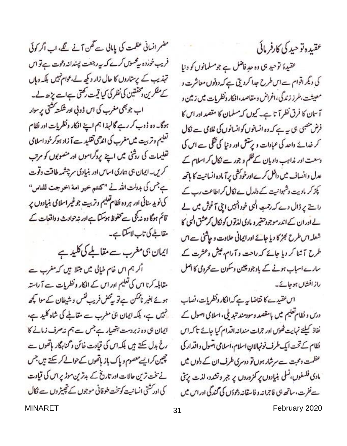مضمر انسانی عظمت کی پاہلی سے تھن آنے گے، اب اگر کوئی فریب خوردہ پیٹسوں کرے کہ پیہ رجعت پسندانہ دعوت ہے تو اس تہذیب کے پرستاروں کا حال زار دیکھ لے،عوام نہیں بلکہ دہاں کے مفکرین دمخققین کی نظر کی کیا قیمت رکھتی ہےاسے پڑھ لے۔ اب جو بھی مغرب کی اس ڈولی اور شکت کشتی پر سوار ہوگا۔ دہ ڈوب کر رہے گالہذا ہم اپنے افکار ونظریات اور نظام تعلیم وتربیت میں مغرب کی اندھی تقلید ہے آ زاد ہوکرخود اسلامی تعلیمات کی روشی میں اپنے پروگراموں اور منصوبوں کو مرتب کریں۔ایمان ہی ہماری اساس اور بنیادی سرچشمہ طاقت وقوت بے جس کی بدولت اللہ نے "کنتم خیر امة اخرجت للناس" کی نوید سنائی اور هروه نظام تعلیم وتربیت جوغیراسلامی بنیادوں پر قائم ہوگا وہ نہ بجی سے محفوظ ہوسکتا ہے اور شہ حوادث و داقعات کے مقالجے کی تاب لاسکتا ہے۔

ایمان ہی مغرب سے مقالجے کی کلید ہے

اگر ہم اس خام خیالی میں مبتلا ہیں کہ مغرب ہے مقابلہ کرنا اس کی تعلیم ادر اس کے افکار ونظریات ہے آ راستہ ہوئے بغیر ناممکن ہے تو بیٹھل فریب نفس و شیطان کے سوا کچھ نہیں ہے، بلکہ ایمان ہی مغرب سے مقالمے کی شاہ کلید ہے، ایمان ہی وہ زبردست ہتھیار ہے جس سے ہم نہ صرف زمانے کا رخ بدل سکتے ہیں بلکہ اس کی قیادت خائن د گناہگار ہاتھوں سے چین کرایے معصوم و پاک باز ہاتھوں کے حوالے کر سکتے ہیں جس نے تخت ترین حالات اور تاریخ کے بدترین موڑ پر اس کی قیادت کی ادر کشتی انسانیت کوتخت طوفانی موجوں کے تھیٹر وں سے نکال

عقيده توحيد كي كارفر مائي

عقیدۂ توحید ہی وہ حدِ فاضل ہے جومسلمانوں کو دنیا کی دیگر اقوام ہےاس طرح جدا کردیتی ہے کہ دونوں معاشرت د معیشت،طرز زندگی،اغراض و مقاصد،افکار دنظریات میں زمین و آسان کا فرق نظر آتا ہے۔ کیوں کہ مسلمان کا مقصد ادر اس کا فرض منصبی ہی ہے ہے کہ وہ انسانوں کو انسانوں کی غلامی سے نکال کر خدائے واحد کی عبادات و پرستش اور دنیا کی تھی ہے اس کی وسعت اور نداہب دادیان کےظلم و جور سے نکال کر اسلام کے عدل وانصاف میں داخل کرے اورخودکشی پرآ مادہ انسانیت کا ہاتھ پکڑ کر مادیت وشہوانیت کے دلدل ے نکال کراطاعت رب کے راچ پر ڈال دے کہ رحمتِ الٰہی خود اُنہیں ابنی آغوش میں لے لے اور ان کے اندر موجود حقیر و مادی لذتوں کو نکال کرعشق البی کا شعلہ اس طرح بجڑ کا دیا جائے اور ایمانی حلاوت و حاشی ہے اس طرح آشا کر دیا جائے کہ راحت و آرام، عیش وعشرت کے سارے اسباب ہونے کے باوجود چین دسکون سےمحرومی کا اصل راز افشاں ہوجائے۔

اس عقیدے کا تقاضا یہ ہے کہ افکار ونظریات، نصاب درس و نظام تعلیم میں پامقصد وسودمند تبدیلی، اسلامی اصول کے نفاذ كيليح نهايت خوس اور جرات منداند اقدام كيا جائے تاكداس نظام کے تحت ایک طرف نونہالان اسلام، اسلامی اصول واقدار کی عظمت ومحبت سے سرشار ہوں تو دوسری طرف ان کے دلوں میں مادی فلسفوں، نسلی بنیادوں پر کمزوروں پر جبر و تشدد، لذت پرستی سے نفرت، ساتھ ہی فاجرانہ و فاسقانہ دعودَں کی گندگی اور اس میں